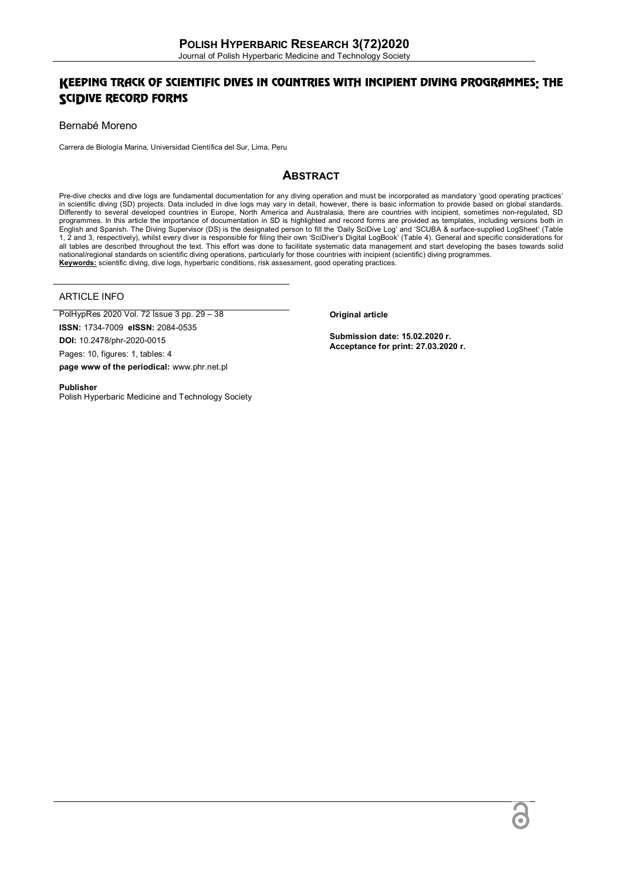## KEEPING TRACK OF SCIENTIFIC DIVES IN COUNTRIES WITH INCIPIENT DIVING PROGRAMMES: THE SCIDIVE RECORD FORMS

### Bernabé Moreno

Carrera de Biología Marina, Universidad Científica del Sur, Lima, Peru

## **ABSTRACT**

Pre-dive checks and dive logs are fundamental documentation for any diving operation and must be incorporated as mandatory 'good operating practices' in scientific diving (SD) projects. Data included in dive logs may vary in detail, however, there is basic information to provide based on global standards. Differently to several developed countries in Europe, North America and Australasia, there are countries with incipient, sometimes non-regulated, SD<br>programmes. In this article the importance of documentation in SD is high English and Spanish. The Diving Supervisor (DS) is the designated person to fill the 'Daily SciDive Log' and 'SCUBA & surface-supplied LogSheet' (Table 1, 2 and 3, respectively), whilst every diver is responsible for filing their own 'SciDiver's Digital LogBook' (Table 4). General and specific considerations for all tables are described throughout the text. This effort was done to facilitate systematic data management and start developing the bases towards solid national/regional standards on scientific diving operations, particularly for those countries with incipient (scientific) diving programmes. **Keywords:** scientific diving, dive logs, hyperbaric conditions, risk assessment, good operating practices.

### ARTICLE INFO

PolHypRes 2020 Vol. 72 Issue 3 pp. 29 – 38 **ISSN:** 1734-7009 **eISSN:** 2084-0535 **DOI:** 10.2478/phr-2020-0015 Pages: 10, figures: 1, tables: 4 **page www of the periodical:** www.phr.net.pl

**Original article**

**Submission date: 15.02.2020 r. Acceptance for print: 27.03.2020 r.**

#### **Publisher**

Polish Hyperbaric Medicine and Technology Society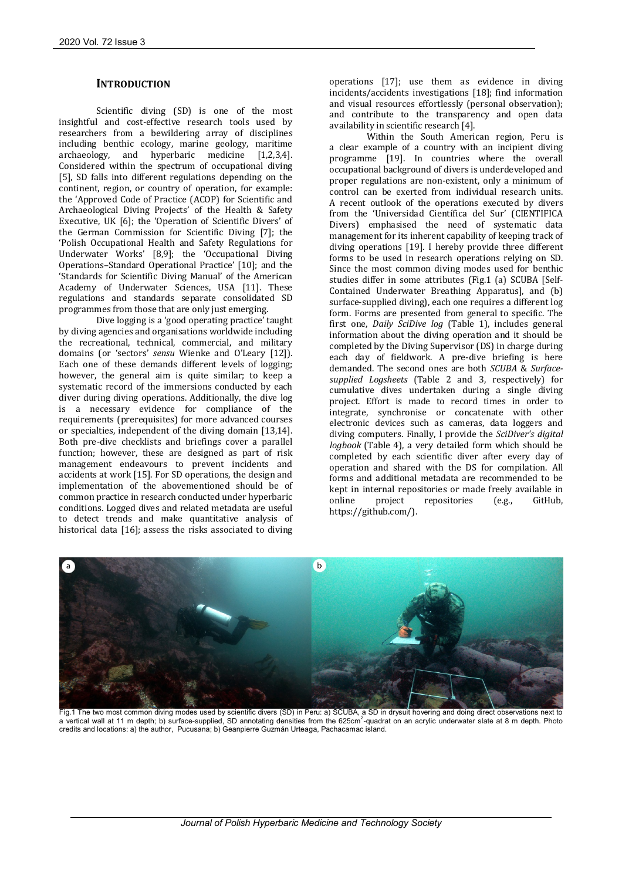## **INTRODUCTION**

Scientific diving (SD) is one of the most insightful and cost-effective research tools used by researchers from a bewildering array of disciplines including benthic ecology, marine geology, maritime archaeology, and hyperbaric medicine [1,2,3,4]. Considered within the spectrum of occupational diving [5], SD falls into different regulations depending on the continent, region, or country of operation, for example: the 'Approved Code of Practice (ACOP) for Scientific and Archaeological Diving Projects' of the Health & Safety Executive, UK [6]; the 'Operation of Scientific Divers' of the German Commission for Scientific Diving [7]; the 'Polish Occupational Health and Safety Regulations for Underwater Works' [8,9]; the 'Occupational Diving Operations–Standard Operational Practice' [10]; and the 'Standards for Scientific Diving Manual' of the American Academy of Underwater Sciences, USA [11]. These regulations and standards separate consolidated SD programmes from those that are only just emerging.

Dive logging is a 'good operating practice' taught by diving agencies and organisations worldwide including the recreational, technical, commercial, and military domains (or 'sectors' *sensu* Wienke and O'Leary [12]). Each one of these demands different levels of logging; however, the general aim is quite similar; to keep a systematic record of the immersions conducted by each diver during diving operations. Additionally, the dive log is a necessary evidence for compliance of the requirements (prerequisites) for more advanced courses or specialties, independent of the diving domain [13,14]. Both pre-dive checklists and briefings cover a parallel function; however, these are designed as part of risk management endeavours to prevent incidents and accidents at work [15]. For SD operations, the design and implementation of the abovementioned should be of common practice in research conducted under hyperbaric conditions. Logged dives and related metadata are useful to detect trends and make quantitative analysis of historical data [16]; assess the risks associated to diving operations [17]; use them as evidence in diving incidents/accidents investigations [18]; find information and visual resources effortlessly (personal observation); and contribute to the transparency and open data availability in scientific research [4].

Within the South American region, Peru is a clear example of a country with an incipient diving programme [19]. In countries where the overall occupational background of divers is underdeveloped and proper regulations are non-existent, only a minimum of control can be exerted from individual research units. A recent outlook of the operations executed by divers from the 'Universidad Científica del Sur' (CIENTIFICA Divers) emphasised the need of systematic data management for its inherent capability of keeping track of diving operations [19]. I hereby provide three different forms to be used in research operations relying on SD. Since the most common diving modes used for benthic studies differ in some attributes (Fig.1 (a) SCUBA [Self-Contained Underwater Breathing Apparatus], and (b) surface-supplied diving), each one requires a different log form. Forms are presented from general to specific. The first one, *Daily SciDive log* (Table 1), includes general information about the diving operation and it should be completed by the Diving Supervisor (DS) in charge during each day of fieldwork. A pre-dive briefing is here demanded. The second ones are both *SCUBA* & *Surfacesupplied Logsheets* (Table 2 and 3, respectively) for cumulative dives undertaken during a single diving project. Effort is made to record times in order to integrate, synchronise or concatenate with other electronic devices such as cameras, data loggers and diving computers. Finally, I provide the *SciDiver's digital logbook* (Table 4), a very detailed form which should be completed by each scientific diver after every day of operation and shared with the DS for compilation. All forms and additional metadata are recommended to be kept in internal repositories or made freely available in online project repositories (e.g., GitHub, https://github.com/).



Fig.1 The two most common diving modes used by scientific divers (SD) in Peru: a) SCUBA, a SD in drysuit hovering and doing direct observations next to<br>a vertical wall at 11 m depth; b) surface-supplied, SD annotating dens credits and locations: a) the author, Pucusana; b) Geanpierre Guzmán Urteaga, Pachacamac island.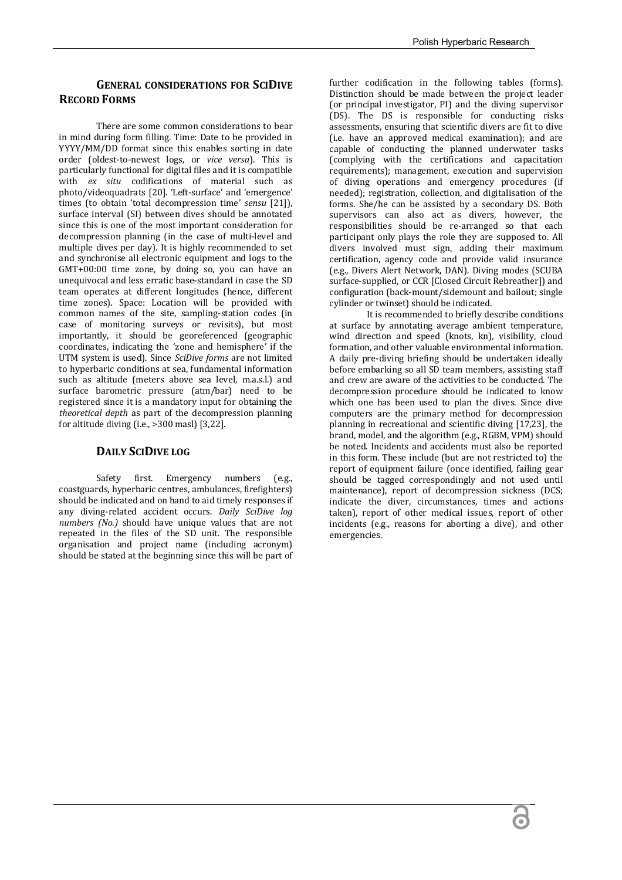## **GENERAL CONSIDERATIONS FOR SCIDIVE RECORD FORMS**

There are some common considerations to bear in mind during form filling. Time: Date to be provided in YYYY/MM/DD format since this enables sorting in date order (oldest-to-newest logs, or *vice versa*). This is particularly functional for digital files and it is compatible with *ex situ* codifications of material such as photo/videoquadrats [20]. 'Left-surface' and 'emergence' times (to obtain 'total decompression time' *sensu* [21]), surface interval (SI) between dives should be annotated since this is one of the most important consideration for decompression planning (in the case of multi-level and multiple dives per day). It is highly recommended to set and synchronise all electronic equipment and logs to the GMT+00:00 time zone, by doing so, you can have an unequivocal and less erratic base-standard in case the SD team operates at different longitudes (hence, different time zones). Space: Location will be provided with common names of the site, sampling-station codes (in case of monitoring surveys or revisits), but most importantly, it should be georeferenced (geographic coordinates, indicating the 'zone and hemisphere' if the UTM system is used). Since *SciDive forms* are not limited to hyperbaric conditions at sea, fundamental information such as altitude (meters above sea level, m.a.s.l.) and surface barometric pressure (atm/bar) need to be registered since it is a mandatory input for obtaining the *theoretical depth* as part of the decompression planning for altitude diving (i.e., >300 masl) [3,22].

## **DAILY SCIDIVE LOG**

Safety first. Emergency numbers (e.g., coastguards, hyperbaric centres, ambulances, firefighters) should be indicated and on hand to aid timely responses if any diving-related accident occurs. *Daily SciDive log numbers (No.)* should have unique values that are not repeated in the files of the SD unit. The responsible organisation and project name (including acronym) should be stated at the beginning since this will be part of

further codification in the following tables (forms). Distinction should be made between the project leader (or principal investigator, PI) and the diving supervisor (DS). The DS is responsible for conducting risks assessments, ensuring that scientific divers are fit to dive (i.e. have an approved medical examination); and are capable of conducting the planned underwater tasks (complying with the certifications and capacitation requirements); management, execution and supervision of diving operations and emergency procedures (if needed); registration, collection, and digitalisation of the forms. She/he can be assisted by a secondary DS. Both supervisors can also act as divers, however, the responsibilities should be re-arranged so that each participant only plays the role they are supposed to. All divers involved must sign, adding their maximum certification, agency code and provide valid insurance (e.g., Divers Alert Network, DAN). Diving modes (SCUBA surface-supplied, or CCR [Closed Circuit Rebreather]) and configuration (back-mount/sidemount and bailout; single cylinder or twinset) should be indicated.

It is recommended to briefly describe conditions at surface by annotating average ambient temperature, wind direction and speed (knots, kn), visibility, cloud formation, and other valuable environmental information. A daily pre-diving briefing should be undertaken ideally before embarking so all SD team members, assisting staff and crew are aware of the activities to be conducted. The decompression procedure should be indicated to know which one has been used to plan the dives. Since dive computers are the primary method for decompression planning in recreational and scientific diving [17,23], the brand, model, and the algorithm (e.g., RGBM, VPM) should be noted. Incidents and accidents must also be reported in this form. These include (but are not restricted to) the report of equipment failure (once identified, failing gear should be tagged correspondingly and not used until maintenance), report of decompression sickness (DCS; indicate the diver, circumstances, times and actions taken), report of other medical issues, report of other incidents (e.g., reasons for aborting a dive), and other emergencies.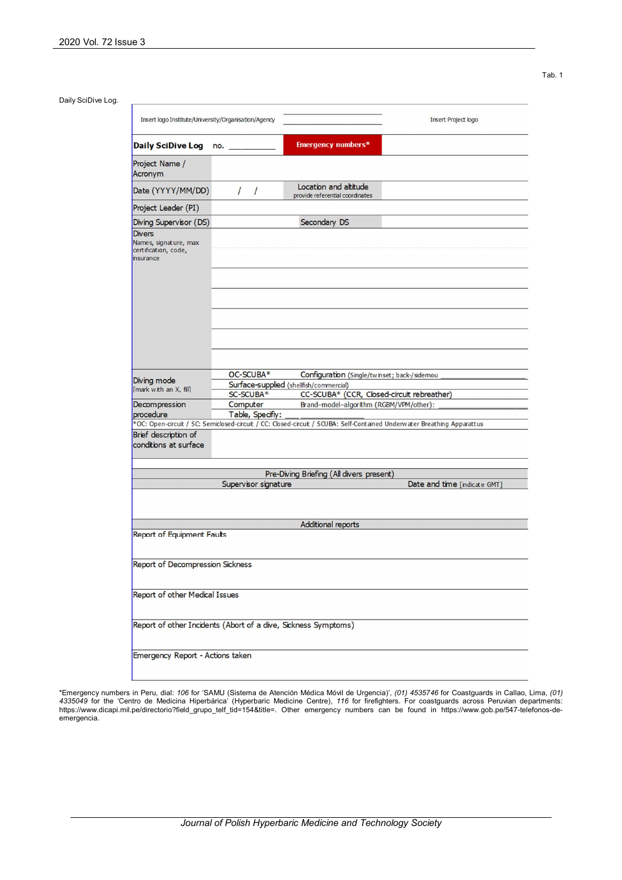Tab. 1

|                                                                             |                                                                                                      |                                                                                                                         | Insert Project logo          |  |  |  |  |  |
|-----------------------------------------------------------------------------|------------------------------------------------------------------------------------------------------|-------------------------------------------------------------------------------------------------------------------------|------------------------------|--|--|--|--|--|
| Daily SciDive Log no. _                                                     |                                                                                                      | <b>Emergency numbers*</b>                                                                                               |                              |  |  |  |  |  |
| Project Name /<br>Acronym                                                   |                                                                                                      |                                                                                                                         |                              |  |  |  |  |  |
| Date (YYYY/MM/DD)                                                           | $\prime$<br>$\sqrt{ }$                                                                               | Location and altitude<br>provide referential coordinates                                                                |                              |  |  |  |  |  |
| Project Leader (PI)                                                         |                                                                                                      |                                                                                                                         |                              |  |  |  |  |  |
| Diving Supervisor (DS)                                                      |                                                                                                      | Secondary DS                                                                                                            |                              |  |  |  |  |  |
| <b>Divers</b><br>Names, signature, max<br>certification, code,<br>insurance |                                                                                                      |                                                                                                                         |                              |  |  |  |  |  |
|                                                                             |                                                                                                      |                                                                                                                         |                              |  |  |  |  |  |
|                                                                             |                                                                                                      |                                                                                                                         |                              |  |  |  |  |  |
| Diving mode                                                                 | OC-SCUBA*<br>Configuration (Single/twinset; back-/sidemou<br>Surface-supplied (shellfish/commercial) |                                                                                                                         |                              |  |  |  |  |  |
| [mark with an X, fill]                                                      | SC-SCUBA*                                                                                            | CC-SCUBA* (CCR, Closed-circuit rebreather)                                                                              |                              |  |  |  |  |  |
| Decompression                                                               | Computer                                                                                             | Brand-model-algorithm (RGBM/VPM/other):                                                                                 |                              |  |  |  |  |  |
| procedure                                                                   | Table, Specifiy:                                                                                     |                                                                                                                         |                              |  |  |  |  |  |
|                                                                             |                                                                                                      | *OC: Open-circuit / SC: Semiclosed-circuit / CC: Closed-circuit / SCUBA: Self-Contained Underwater Breathing Apparattus |                              |  |  |  |  |  |
| Brief description of<br>conditions at surface                               |                                                                                                      |                                                                                                                         |                              |  |  |  |  |  |
|                                                                             |                                                                                                      |                                                                                                                         |                              |  |  |  |  |  |
|                                                                             |                                                                                                      | Pre-Diving Briefing (All divers present)                                                                                |                              |  |  |  |  |  |
|                                                                             | Supervisor signature                                                                                 |                                                                                                                         |                              |  |  |  |  |  |
|                                                                             |                                                                                                      |                                                                                                                         |                              |  |  |  |  |  |
|                                                                             |                                                                                                      | <b>Additional reports</b>                                                                                               |                              |  |  |  |  |  |
| Report of Equipment Faults                                                  |                                                                                                      |                                                                                                                         | Date and time [indicate GMT] |  |  |  |  |  |
| Report of Decompression Sickness                                            |                                                                                                      |                                                                                                                         |                              |  |  |  |  |  |
| Report of other Medical Issues                                              |                                                                                                      |                                                                                                                         |                              |  |  |  |  |  |
| Report of other Incidents (Abort of a dive, Sickness Symptoms)              |                                                                                                      |                                                                                                                         |                              |  |  |  |  |  |

\*Emergency numbers in Peru, dial: 106 for 'SAMU (Sistema de Atención Médica Móvil de Urgencia)', (01*) 4535746* for Coastguards in Callao, Lima, (01)<br>*4335049 f*or the 'Centro de Medicina Hiperbárica' (Hyperbaric Medicine https://www.dicapi.mil.pe/directorio?field\_grupo\_telf\_tid=154&title=. Other emergency numbers can be found in https://www.gob.pe/547-telefonos-deemergencia.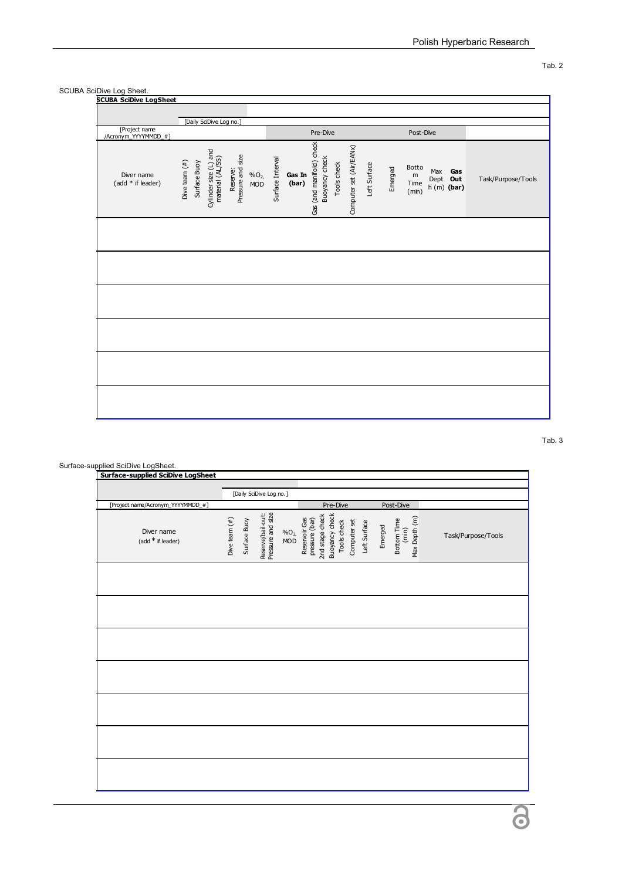#### SCUBA SciDive Log Sheet.

| <b>SCUBA SciDive LogSheet</b>         |                                                                                                                                           |                                                                                                                                                    |                                                                                  |                    |
|---------------------------------------|-------------------------------------------------------------------------------------------------------------------------------------------|----------------------------------------------------------------------------------------------------------------------------------------------------|----------------------------------------------------------------------------------|--------------------|
|                                       |                                                                                                                                           |                                                                                                                                                    |                                                                                  |                    |
|                                       | [Daily SciDive Log no.]                                                                                                                   |                                                                                                                                                    |                                                                                  |                    |
| [Project name<br>/Acronym_YYYYMMDD_#] |                                                                                                                                           | Pre-Dive                                                                                                                                           | Post-Dive                                                                        |                    |
| Diver name<br>(add * if leader)       | Cylinder size (L) and<br>material (AL/SS)<br>Reserve:<br>Pressure and size<br>Surface Buoy<br>Dive team $(*)$<br>%O <sub>2</sub> ,<br>MOD | Gas (and manifold) check<br>Computer set (Air/EANx)<br><b>Buoyancy check</b><br>Surface Interval<br>Tools check<br>Left Surface<br>Gas In<br>(bar) | Botto<br>Emerged<br>Max<br>Gas<br>m<br>Dept Out<br>Time<br>$h(m)$ (bar)<br>(min) | Task/Purpose/Tools |
|                                       |                                                                                                                                           |                                                                                                                                                    |                                                                                  |                    |
|                                       |                                                                                                                                           |                                                                                                                                                    |                                                                                  |                    |
|                                       |                                                                                                                                           |                                                                                                                                                    |                                                                                  |                    |
|                                       |                                                                                                                                           |                                                                                                                                                    |                                                                                  |                    |
|                                       |                                                                                                                                           |                                                                                                                                                    |                                                                                  |                    |
|                                       |                                                                                                                                           |                                                                                                                                                    |                                                                                  |                    |

Tab. 3

# Surface-supplied SciDive LogSheet. **Surface-supplied SciDive LogSheet**  [Daily SciDive Log no.][Project name/Acronym\_YYYYMMDD\_#] Pre-Dive Post-Dive Reserve/bail-out:<br>Pressure and size Reserve/bail-out: 2nd stage check Pressure and size Buoyancy check Dive team  $(*)$ Surface Buoy Reservoir Gas Max Depth (m) Dive team (#) pressure (bar) Bottom Time Computer set Mode<br>Reservoir Gase<br>The Character Check<br>Tools check<br>Tools check<br>Computer set<br>Computer Surface Diver name Emerged (min) %O2, Task/Purpose/Tools (add \* if leader) 3

Tab. 2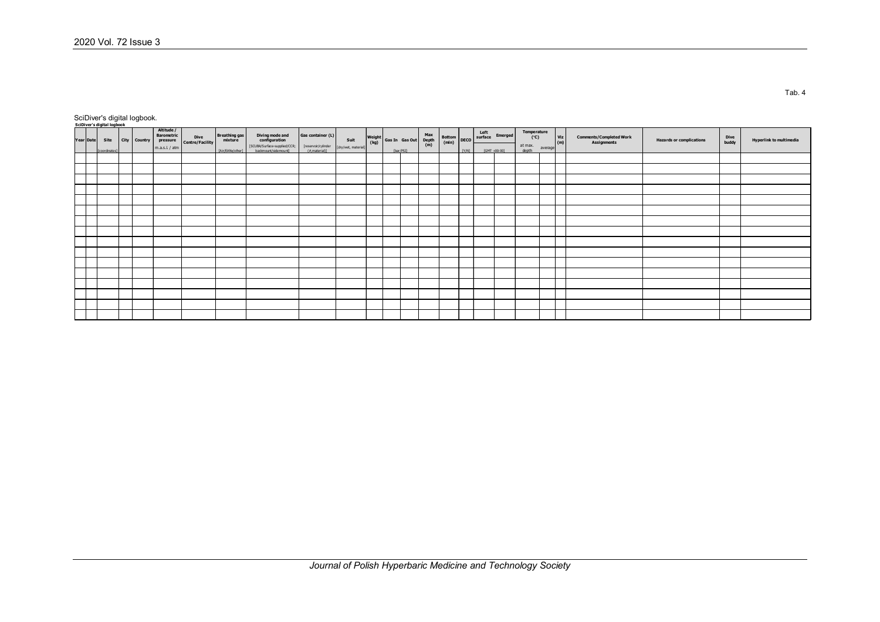SciDiver's digital logbook.

| SciDiver's digital logbook |               |              |                                             |                         |                  |                                                                   |                                      |                     |           |                                                   |  |              |              |                                    |                     |         |                                 |                                        |                                 |                                                 |
|----------------------------|---------------|--------------|---------------------------------------------|-------------------------|------------------|-------------------------------------------------------------------|--------------------------------------|---------------------|-----------|---------------------------------------------------|--|--------------|--------------|------------------------------------|---------------------|---------|---------------------------------|----------------------------------------|---------------------------------|-------------------------------------------------|
| Year Date                  | Site          | City Country | Altitude /<br><b>Barometric</b><br>pressure | Dive<br>Centre/Facility | Breathing gas    | Diving mode and<br>configuration<br>[SCUBA/S urface-supplied/CCR; | Gas container (L)                    | Suit                |           | Weight Gas In Gas Out Max (kg) Gas In Gas Out (m) |  |              |              | vax<br>Rottom DECO surface Emerged | Temperature<br>(°C) |         | $\frac{\text{Viz}}{\text{(m)}}$ | Comments/Completed Work<br>Assignments | <b>Hazards or complications</b> | Dive<br>buddy<br><b>Hyperlink to multimedia</b> |
|                            | [coordinates] |              | m.a.s.l. / atm                              |                         | [Air/EANx/other] | backmount/sidemount1                                              | [reservoir/cylinder<br>(#,material)] | [dry/wet, material] | [bar/PSI] |                                                   |  | <b>TY/NT</b> | FGMT +00:001 |                                    | at max.<br>depth    | average |                                 |                                        |                                 |                                                 |
|                            |               |              |                                             |                         |                  |                                                                   |                                      |                     |           |                                                   |  |              |              |                                    |                     |         |                                 |                                        |                                 |                                                 |
|                            |               |              |                                             |                         |                  |                                                                   |                                      |                     |           |                                                   |  |              |              |                                    |                     |         |                                 |                                        |                                 |                                                 |
|                            |               |              |                                             |                         |                  |                                                                   |                                      |                     |           |                                                   |  |              |              |                                    |                     |         |                                 |                                        |                                 |                                                 |
|                            |               |              |                                             |                         |                  |                                                                   |                                      |                     |           |                                                   |  |              |              |                                    |                     |         |                                 |                                        |                                 |                                                 |
|                            |               |              |                                             |                         |                  |                                                                   |                                      |                     |           |                                                   |  |              |              |                                    |                     |         |                                 |                                        |                                 |                                                 |
|                            |               |              |                                             |                         |                  |                                                                   |                                      |                     |           |                                                   |  |              |              |                                    |                     |         |                                 |                                        |                                 |                                                 |
|                            |               |              |                                             |                         |                  |                                                                   |                                      |                     |           |                                                   |  |              |              |                                    |                     |         |                                 |                                        |                                 |                                                 |
|                            |               |              |                                             |                         |                  |                                                                   |                                      |                     |           |                                                   |  |              |              |                                    |                     |         |                                 |                                        |                                 |                                                 |
|                            |               |              |                                             |                         |                  |                                                                   |                                      |                     |           |                                                   |  |              |              |                                    |                     |         |                                 |                                        |                                 |                                                 |
|                            |               |              |                                             |                         |                  |                                                                   |                                      |                     |           |                                                   |  |              |              |                                    |                     |         |                                 |                                        |                                 |                                                 |
|                            |               |              |                                             |                         |                  |                                                                   |                                      |                     |           |                                                   |  |              |              |                                    |                     |         |                                 |                                        |                                 |                                                 |
|                            |               |              |                                             |                         |                  |                                                                   |                                      |                     |           |                                                   |  |              |              |                                    |                     |         |                                 |                                        |                                 |                                                 |
|                            |               |              |                                             |                         |                  |                                                                   |                                      |                     |           |                                                   |  |              |              |                                    |                     |         |                                 |                                        |                                 |                                                 |
|                            |               |              |                                             |                         |                  |                                                                   |                                      |                     |           |                                                   |  |              |              |                                    |                     |         |                                 |                                        |                                 |                                                 |
|                            |               |              |                                             |                         |                  |                                                                   |                                      |                     |           |                                                   |  |              |              |                                    |                     |         |                                 |                                        |                                 |                                                 |
|                            |               |              |                                             |                         |                  |                                                                   |                                      |                     |           |                                                   |  |              |              |                                    |                     |         |                                 |                                        |                                 |                                                 |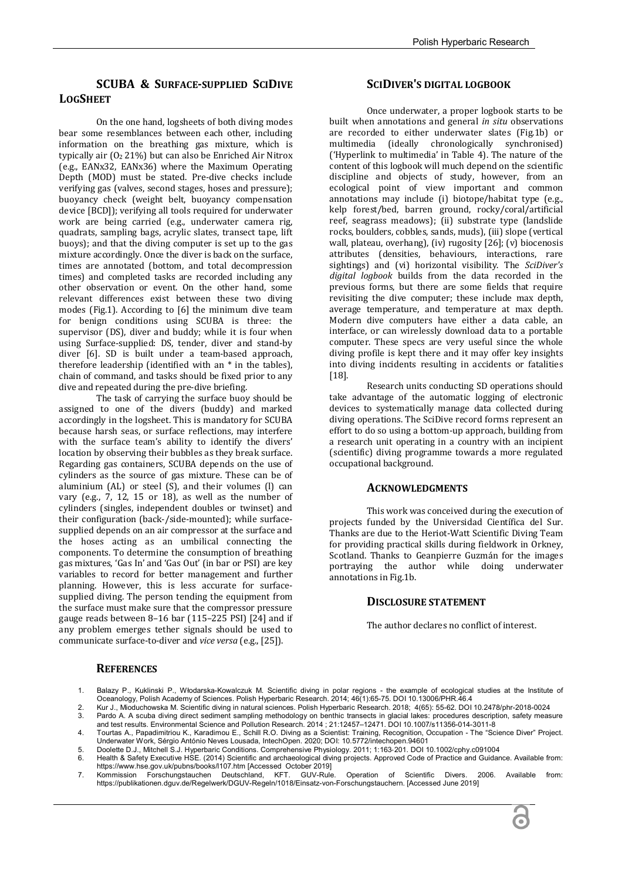## **SCUBA & SURFACE-SUPPLIED SCIDIVE LOGSHEET**

On the one hand, logsheets of both diving modes bear some resemblances between each other, including information on the breathing gas mixture, which is typically air  $(0<sub>2</sub> 21%)$  but can also be Enriched Air Nitrox (e.g., EANx32, EANx36) where the Maximum Operating Depth (MOD) must be stated. Pre-dive checks include verifying gas (valves, second stages, hoses and pressure); buoyancy check (weight belt, buoyancy compensation device [BCD]); verifying all tools required for underwater work are being carried (e.g., underwater camera rig, quadrats, sampling bags, acrylic slates, transect tape, lift buoys); and that the diving computer is set up to the gas mixture accordingly. Once the diver is back on the surface, times are annotated (bottom, and total decompression times) and completed tasks are recorded including any other observation or event. On the other hand, some relevant differences exist between these two diving modes (Fig.1). According to [6] the minimum dive team for benign conditions using SCUBA is three: the supervisor (DS), diver and buddy; while it is four when using Surface-supplied: DS, tender, diver and stand-by diver [6]. SD is built under a team-based approach, therefore leadership (identified with an \* in the tables), chain of command, and tasks should be fixed prior to any dive and repeated during the pre-dive briefing.

The task of carrying the surface buoy should be assigned to one of the divers (buddy) and marked accordingly in the logsheet. This is mandatory for SCUBA because harsh seas, or surface reflections, may interfere with the surface team's ability to identify the divers' location by observing their bubbles as they break surface. Regarding gas containers, SCUBA depends on the use of cylinders as the source of gas mixture. These can be of aluminium (AL) or steel (S), and their volumes (l) can vary (e.g., 7, 12, 15 or 18), as well as the number of cylinders (singles, independent doubles or twinset) and their configuration (back-/side-mounted); while surfacesupplied depends on an air compressor at the surface and the hoses acting as an umbilical connecting the components. To determine the consumption of breathing gas mixtures, 'Gas In' and 'Gas Out' (in bar or PSI) are key variables to record for better management and further planning. However, this is less accurate for surfacesupplied diving. The person tending the equipment from the surface must make sure that the compressor pressure gauge reads between 8–16 bar (115–225 PSI) [24] and if any problem emerges tether signals should be used to communicate surface-to-diver and *vice versa* (e.g., [25]).

## **SCIDIVER'S DIGITAL LOGBOOK**

Once underwater, a proper logbook starts to be built when annotations and general *in situ* observations are recorded to either underwater slates (Fig.1b) or multimedia (ideally chronologically synchronised) ('Hyperlink to multimedia' in Table 4). The nature of the content of this logbook will much depend on the scientific discipline and objects of study, however, from an ecological point of view important and common annotations may include (i) biotope/habitat type (e.g., kelp forest/bed, barren ground, rocky/coral/artificial reef, seagrass meadows); (ii) substrate type (landslide rocks, boulders, cobbles, sands, muds), (iii) slope (vertical wall, plateau, overhang), (iv) rugosity [26]; (v) biocenosis attributes (densities, behaviours, interactions, rare sightings) and (vi) horizontal visibility. The *SciDiver's digital logbook* builds from the data recorded in the previous forms, but there are some fields that require revisiting the dive computer; these include max depth, average temperature, and temperature at max depth. Modern dive computers have either a data cable, an interface, or can wirelessly download data to a portable computer. These specs are very useful since the whole diving profile is kept there and it may offer key insights into diving incidents resulting in accidents or fatalities [18].

Research units conducting SD operations should take advantage of the automatic logging of electronic devices to systematically manage data collected during diving operations. The SciDive record forms represent an effort to do so using a bottom-up approach, building from a research unit operating in a country with an incipient (scientific) diving programme towards a more regulated occupational background.

## **ACKNOWLEDGMENTS**

This work was conceived during the execution of projects funded by the Universidad Científica del Sur. Thanks are due to the Heriot-Watt Scientific Diving Team for providing practical skills during fieldwork in Orkney, Scotland. Thanks to Geanpierre Guzmán for the images portraying the author while doing underwater annotations in Fig.1b.

### **DISCLOSURE STATEMENT**

The author declares no conflict of interest.

### **REFERENCES**

- 1. Balazy P., Kuklinski P., Włodarska-Kowalczuk M. Scientific diving in polar regions the example of ecological studies at the Institute of<br>Oceanology, Polish Academy of Sciences. Polish Hyperbaric Research. 2014; 46(
- 2. Kur J., Mioduchowska M. Scientific diving in natural sciences. Polish Hyperbaric Research. 2018; 4(65): 55-62. DOI 10.2478/phr-2018-0024

Pardo A. A scuba diving direct sediment sampling methodology on benthic transects in glacial lakes: procedures description, safety measure and test results. Environmental Science and Pollution Research. 2014 ; 21:12457–12471. DOI 10.1007/s11356-014-3011-8

- 4. Tourtas A., Papadimitriou K., Karadimou E., Schill R.O. Diving as a Scientist: Training, Recognition, Occupation The "Science Diver" Project. Underwater Work, Sérgio António Neves Lousada, IntechOpen. 2020; DOI: 10.5772/intechopen.94601
- 5. Doolette D.J., Mitchell S.J. Hyperbaric Conditions. Comprehensive Physiology. 2011; 1:163-201. DOI 10.1002/cphy.c091004<br>6. Health & Safety Executive HSE (2014) Scientific and archaeological diving projects. Approved Cod 6. Health & Safety Executive HSE. (2014) Scientific and archaeological diving projects. Approved Code of Practice and Guidance. Available from:
- https://www.hse.gov.uk/pubns/books/l107.htm [Accessed October 2019] 7. Kommission Forschungstauchen Deutschland, KFT. GUV-Rule. Operation of Scientific Divers. 2006. Available from: https://publikationen.dguv.de/Regelwerk/DGUV-Regeln/1018/Einsatz-von-Forschungstauchern. [Accessed June 2019]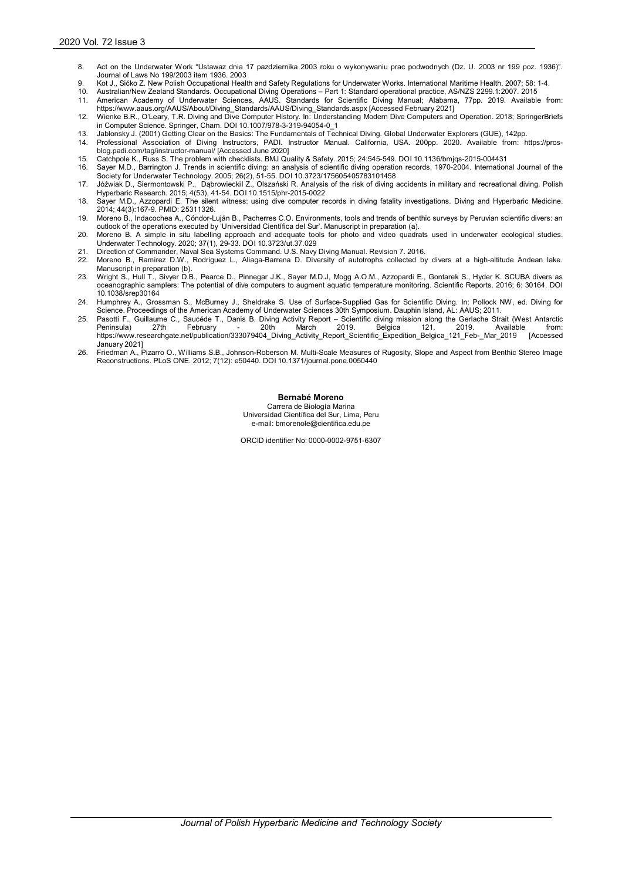- 8. Act on the Underwater Work "Ustawaz dnia 17 pazdziernika 2003 roku o wykonywaniu prac podwodnych (Dz. U. 2003 nr 199 poz. 1936)". Journal of Laws No 199/2003 item 1936. 2003
- 9. Kot J., Sićko Z. New Polish Occupational Health and Safety Regulations for Underwater Works. International Maritime Health. 2007; 58: 1-4.<br>10. Australian/New Zealand Standards. Occupational Diving Operations P
- 
- 11. American Academy of Underwater Sciences, AAUS. Standards for Scientific Diving Manual; Alabama, 77pp. 2019. Available from: https://www.aaus.org/AAUS/About/Diving\_Standards/AAUS/Diving\_Standards.aspx [Accessed February 2021]
- 12. Wienke B.R., O'Leary, T.R. Diving and Dive Computer History. In: Understanding Modern Dive Computers and Operation. 2018; SpringerBriefs in Computer Science. Springer, Cham. DOI 10.1007/978-3-319-94054-0\_1
- 13. Jablonsky J. (2001) Getting Clear on the Basics: The Fundamentals of Technical Diving. Global Underwater Explorers (GUE), 142pp.
- Professional Association of Diving Instructors, PADI. Instructor Manual. California, USA. 200pp. 2020. Available from: https://prosblog.padi.com/tag/instructor-manual/ [Accessed June 2020]
- 15. Catchpole K., Russ S. The problem with checklists. BMJ Quality & Safety. 2015; 24:545-549. DOI 10.1136/bmjqs-2015-004431
- 16. Sayer M.D., Barrington J. Trends in scientific diving: an analysis of scientific diving operation records, 1970-2004. International Journal of the
- Society for Underwater Technology. 2005; 26(2), 51-55. DOI 10.3723/175605405783101458<br>17. Jóźwiak D., Siermontowski P., DąbrowieckiI Z., Olszański R. Analysis of the risk of diving accidents in military and recreationa Hyperbaric Research. 2015; 4(53), 41-54. DOI 10.1515/phr-2015-0022
- 18. Sayer M.D., Azzopardi E. The silent witness: using dive computer records in diving fatality investigations. Diving and Hyperbaric Medicine. 2014; 44(3):167-9. PMID: 25311326.
- 19. Moreno B., Indacochea A., Cóndor-Luján B., Pacherres C.O. Environments, tools and trends of benthic surveys by Peruvian scientific divers: an<br>outlook of the operations executed by 'Universidad Científica del Sur'. Manu
- 20. Moreno B. A simple in situ labelling approach and adequate tools for photo and video quadrats used in underwater ecological studies. Underwater Technology. 2020; 37(1), 29-33. DOI 10.3723/ut.37.029
- 21. Direction of Commander, Naval Sea Systems Command. U.S. Navy Diving Manual. Revision 7. 2016.
- 22. Moreno B., Ramirez D.W., Rodriguez L., Aliaga-Barrena D. Diversity of autotrophs collected by divers at a high-altitude Andean lake. Manuscript in preparation (b). 23. Wright S., Hull T., Sivyer D.B., Pearce D., Pinnegar J.K., Sayer M.D.J, Mogg A.O.M., Azzopardi E., Gontarek S., Hyder K. SCUBA divers as
- oceanographic samplers: The potential of dive computers to augment aquatic temperature monitoring. Scientific Reports. 2016; 6: 30164. DOI 10.1038/srep30164
- 24. Humphrey A., Grossman S., McBurney J., Sheldrake S. Use of Surface-Supplied Gas for Scientific Diving. In: Pollock NW, ed. Diving for Science. Proceedings of the American Academy of Underwater Sciences 30th Symposium. Dauphin Island, AL: AAUS; 2011.
- 25. Pasotti F., Guillaume C., Saucéde T., Danis B. Diving Activity Report Scientific diving mission along the Gerlache Strait (West Antarctic<br>Peninsula) 27th February 20th March 2019. Belgica 121. 2019. Available from: Peninsula) 27th February - 20th March 2019. Belgica 121. 2019. Available from:<br>https://www.researchgate.net/publication/333079404\_Diving\_Activity\_Report\_Scientific\_Expedition\_Belgica\_121\_Feb-\_Mar\_2019 [Accessed January 2021]
- 26. Friedman A., Pizarro O., Williams S.B., Johnson-Roberson M. Multi-Scale Measures of Rugosity, Slope and Aspect from Benthic Stereo Image Reconstructions. PLoS ONE. 2012; 7(12): e50440. DOI 10.1371/journal.pone.0050440

**Bernabé Moreno** Carrera de Biología Marina Universidad Científica del Sur, Lima, Peru e-mail: bmorenole@cientifica.edu.pe

ORCID identifier No: 0000-0002-9751-6307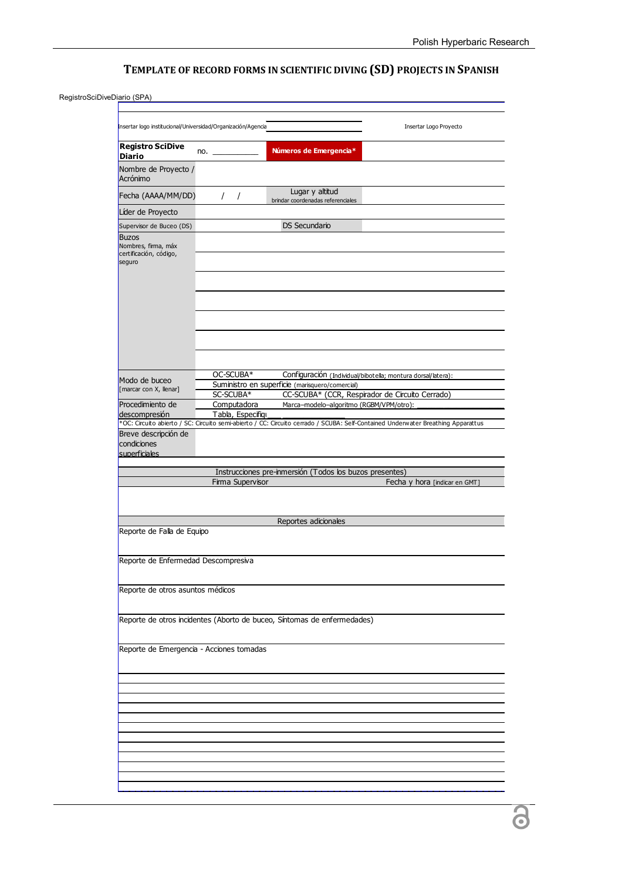# **TEMPLATE OF RECORD FORMS IN SCIENTIFIC DIVING (SD) PROJECTS IN SPANISH**

## RegistroSciDiveDiario (SPA)

|                                                                         | Insertar logo institucional/Universidad/Organización/Agencia |                                                                         | Insertar Logo Proyecto                                                                                                           |
|-------------------------------------------------------------------------|--------------------------------------------------------------|-------------------------------------------------------------------------|----------------------------------------------------------------------------------------------------------------------------------|
| <b>Registro SciDive</b><br><b>Diario</b>                                | no.                                                          | Números de Emergencia*                                                  |                                                                                                                                  |
| Nombre de Proyecto /<br>Acrónimo                                        |                                                              |                                                                         |                                                                                                                                  |
| Fecha (AAAA/MM/DD)                                                      | $\prime$<br>$\prime$                                         | Lugar y altitud<br>brindar coordenadas referenciales                    |                                                                                                                                  |
| Líder de Proyecto                                                       |                                                              |                                                                         |                                                                                                                                  |
| Supervisor de Buceo (DS)                                                |                                                              | <b>DS Secundario</b>                                                    |                                                                                                                                  |
| <b>Buzos</b><br>Nombres, firma, máx<br>certificación, código,<br>seguro |                                                              |                                                                         |                                                                                                                                  |
|                                                                         |                                                              |                                                                         |                                                                                                                                  |
|                                                                         |                                                              |                                                                         |                                                                                                                                  |
| Modo de buceo                                                           | OC-SCUBA*                                                    | Suministro en superficie (marisquero/comercial)                         | Configuración (Individual/bibotella; montura dorsal/latera):                                                                     |
| [marcar con X, llenar]                                                  | SC-SCUBA*                                                    |                                                                         | CC-SCUBA* (CCR, Respirador de Circuito Cerrado)                                                                                  |
| Procedimiento de                                                        | Computadora                                                  | Marca-modelo-algoritmo (RGBM/VPM/otro):                                 |                                                                                                                                  |
| descompresión                                                           | Tabla, Especifiqu                                            |                                                                         |                                                                                                                                  |
| Breve descripción de                                                    |                                                              |                                                                         | *OC: Circuito abierto / SC: Circuito semi-abierto / CC: Circuito cerrado / SCUBA: Self-Contained Underwater Breathing Apparattus |
| condiciones<br>superficiales                                            |                                                              |                                                                         |                                                                                                                                  |
|                                                                         |                                                              | Instrucciones pre-inmersión (Todos los buzos presentes)                 |                                                                                                                                  |
|                                                                         | Firma Supervisor                                             |                                                                         | Fecha y hora [indicar en GMT]                                                                                                    |
|                                                                         |                                                              |                                                                         |                                                                                                                                  |
|                                                                         |                                                              | Reportes adicionales                                                    |                                                                                                                                  |
| Reporte de Falla de Equipo                                              |                                                              |                                                                         |                                                                                                                                  |
| Reporte de Enfermedad Descompresiva                                     |                                                              |                                                                         |                                                                                                                                  |
| Reporte de otros asuntos médicos                                        |                                                              |                                                                         |                                                                                                                                  |
|                                                                         |                                                              | Reporte de otros incidentes (Aborto de buceo, Síntomas de enfermedades) |                                                                                                                                  |
|                                                                         |                                                              |                                                                         |                                                                                                                                  |
|                                                                         | Reporte de Emergencia - Acciones tomadas                     |                                                                         |                                                                                                                                  |
|                                                                         |                                                              |                                                                         |                                                                                                                                  |
|                                                                         |                                                              |                                                                         |                                                                                                                                  |
|                                                                         |                                                              |                                                                         |                                                                                                                                  |
|                                                                         |                                                              |                                                                         |                                                                                                                                  |
|                                                                         |                                                              |                                                                         |                                                                                                                                  |
|                                                                         |                                                              |                                                                         |                                                                                                                                  |
|                                                                         |                                                              |                                                                         |                                                                                                                                  |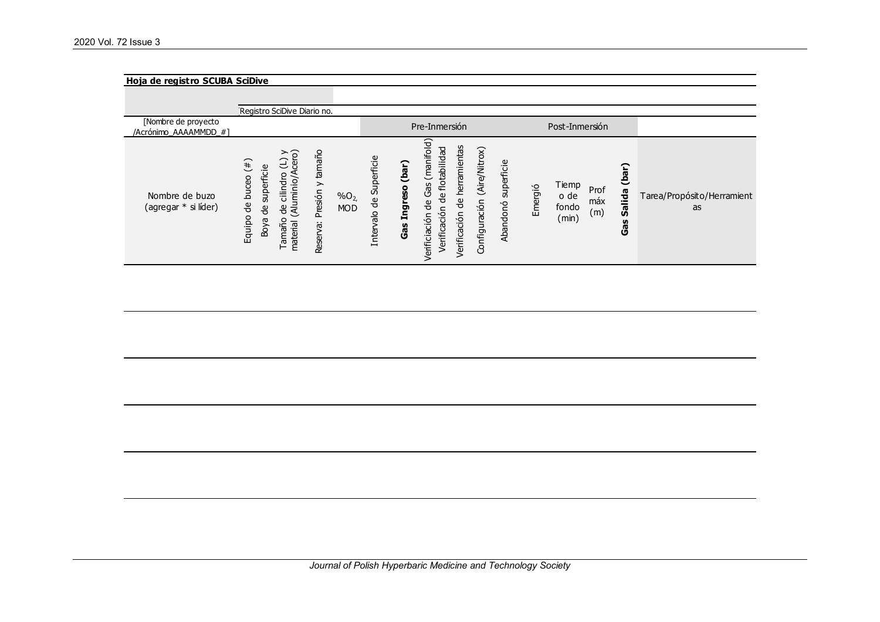### 2020 Vol. 72 Issue 3

| Hoja de registro SCUBA SciDive               |                                                                                                                                                       |                                                                  |                                                                                          |                                                                                                                                                                           |                                   |                                                       |                                                            |
|----------------------------------------------|-------------------------------------------------------------------------------------------------------------------------------------------------------|------------------------------------------------------------------|------------------------------------------------------------------------------------------|---------------------------------------------------------------------------------------------------------------------------------------------------------------------------|-----------------------------------|-------------------------------------------------------|------------------------------------------------------------|
|                                              |                                                                                                                                                       |                                                                  |                                                                                          |                                                                                                                                                                           |                                   |                                                       |                                                            |
|                                              | Registro SciDive Diario no.                                                                                                                           |                                                                  |                                                                                          |                                                                                                                                                                           |                                   |                                                       |                                                            |
| [Nombre de proyecto<br>/Acrónimo AAAAMMDD #1 |                                                                                                                                                       |                                                                  |                                                                                          | Pre-Inmersión                                                                                                                                                             |                                   | Post-Inmersión                                        |                                                            |
| Nombre de buzo<br>(agregar * si líder)       | $\geq$ $\circ$<br>(4)<br>superficie<br>minio/A<br>cilindro<br>de buceo<br>(Alu<br>$\frac{0}{\sigma}$<br>용<br>Equipo<br>Boya<br>omami<br>material<br>⊢ | tamaño<br>≻<br>resión<br>$%O_{2}$<br><b>MOD</b><br>௳<br>Reserva: | Superficie<br>(bar)<br>reso<br>$\frac{\text{e}}{\text{d}}$<br>ē<br>Intervalo<br>н<br>Gas | (manifold)<br>herramientas<br>(Aire/Nitrox)<br>flotabilidad<br>යි<br>෪<br>Configuración<br>$\frac{\omega}{\sigma}$<br>θe<br>Verificaciór<br>Verificación<br>Verificiación | superficie<br>Emergió<br>Abandonó | Tiemp<br>Prof<br>o de<br>máx<br>fondo<br>(m)<br>(min) | (bar)<br>Salida<br>Tarea/Propósito/Herramient<br>as<br>Gas |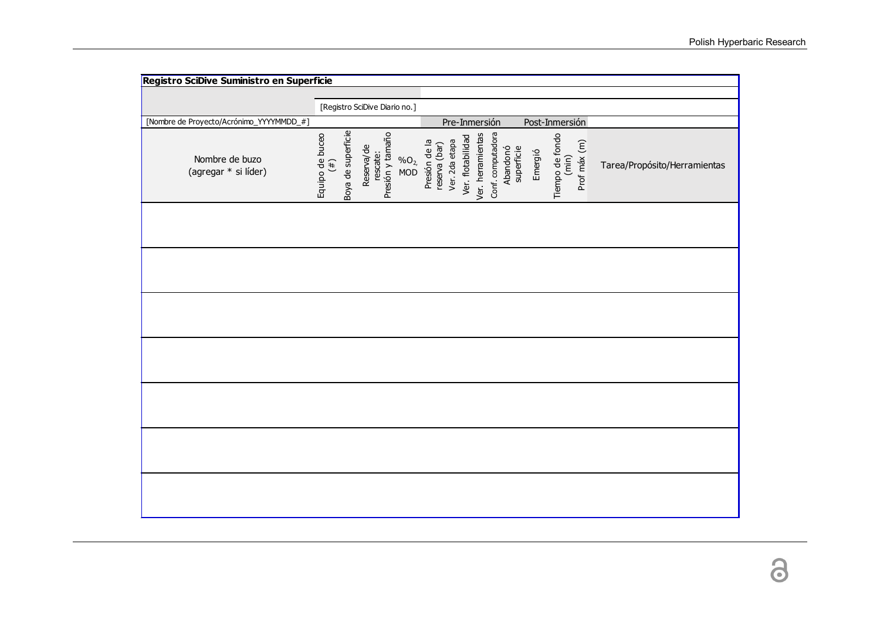| Registro SciDive Suministro en Superficie |                                              |                                                              |                                                  |                                                             |                                   |                                          |                              |
|-------------------------------------------|----------------------------------------------|--------------------------------------------------------------|--------------------------------------------------|-------------------------------------------------------------|-----------------------------------|------------------------------------------|------------------------------|
|                                           |                                              |                                                              |                                                  |                                                             |                                   |                                          |                              |
|                                           |                                              | [Registro SciDive Diario no.]                                |                                                  |                                                             |                                   |                                          |                              |
| [Nombre de Proyecto/Acrónimo_YYYYMMDD_#]  |                                              |                                                              |                                                  | Pre-Inmersión                                               |                                   | Post-Inmersión                           |                              |
| Nombre de buzo<br>(agregar * si líder)    | Boya de superficie<br>Equipo de buceo<br>(4) | Presión y tamaño<br>Reserva/de<br>rescate:<br>$\%O_{2,}$ MOD | Ver. 2da etapa<br>Presión de la<br>reserva (bar) | Conf. computadora<br>Ver. herramientas<br>Ver. flotabilidad | Abandonó<br>superficie<br>Emergió | Tiempo de fondo<br>(min)<br>Prof máx (m) | Tarea/Propósito/Herramientas |
|                                           |                                              |                                                              |                                                  |                                                             |                                   |                                          |                              |
|                                           |                                              |                                                              |                                                  |                                                             |                                   |                                          |                              |
|                                           |                                              |                                                              |                                                  |                                                             |                                   |                                          |                              |
|                                           |                                              |                                                              |                                                  |                                                             |                                   |                                          |                              |
|                                           |                                              |                                                              |                                                  |                                                             |                                   |                                          |                              |
|                                           |                                              |                                                              |                                                  |                                                             |                                   |                                          |                              |
|                                           |                                              |                                                              |                                                  |                                                             |                                   |                                          |                              |